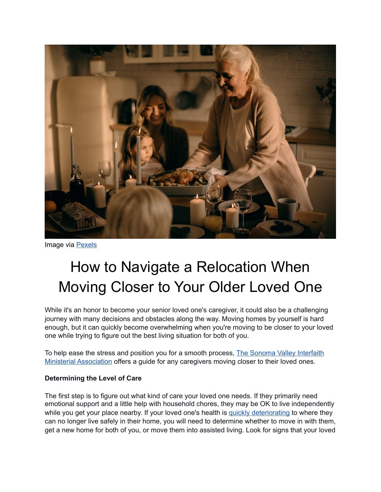

Image via [Pexels](https://www.pexels.com/photo/woman-holding-pan-with-food-3171154/)

# How to Navigate a Relocation When Moving Closer to Your Older Loved One

While it's an honor to become your senior loved one's caregiver, it could also be a challenging journey with many decisions and obstacles along the way. Moving homes by yourself is hard enough, but it can quickly become overwhelming when you're moving to be closer to your loved one while trying to figure out the best living situation for both of you.

To help ease the stress and position you for a smooth process, The Sonoma Valley Interfaith [Ministerial Association](https://www.sonomavalleyinterfaithma.org/) offers a guide for any caregivers moving closer to their loved ones.

### **Determining the Level of Care**

The first step is to figure out what kind of care your loved one needs. If they primarily need emotional support and a little help with household chores, they may be OK to live independently while you get your place nearby. If your loved one's health is [quickly deteriorating](https://www.visitingangels.com/knowledge-center/senior-health-and-well-being/dont-ignore-these-5-signs-your-elderly-loved-one-needs-help-immediately/309) to where they can no longer live safely in their home, you will need to determine whether to move in with them, get a new home for both of you, or move them into assisted living. Look for signs that your loved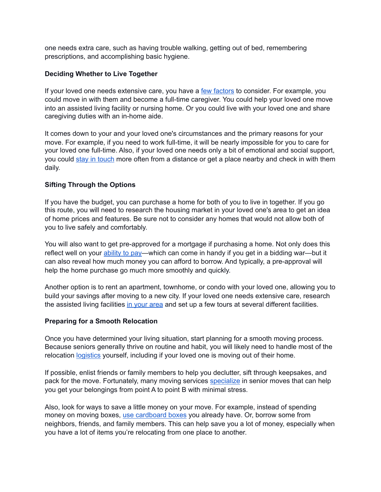one needs extra care, such as having trouble walking, getting out of bed, remembering prescriptions, and accomplishing basic hygiene.

## **Deciding Whether to Live Together**

If your loved one needs extensive care, you have a [few factors](https://www.agingcare.com/articles/living-with-elderly-parents-do-you-regret-the-decision-133798.htm) to consider. For example, you could move in with them and become a full-time caregiver. You could help your loved one move into an assisted living facility or nursing home. Or you could live with your loved one and share caregiving duties with an in-home aide.

It comes down to your and your loved one's circumstances and the primary reasons for your move. For example, if you need to work full-time, it will be nearly impossible for you to care for your loved one full-time. Also, if your loved one needs only a bit of emotional and social support, you could [stay in touch](https://lastingthedistance.com/long-distance-family/) more often from a distance or get a place nearby and check in with them daily.

## **Sifting Through the Options**

If you have the budget, you can purchase a home for both of you to live in together. If you go this route, you will need to research the housing market in your loved one's area to get an idea of home prices and features. Be sure not to consider any homes that would not allow both of you to live safely and comfortably.

You will also want to get pre-approved for a mortgage if purchasing a home. Not only does this reflect well on your [ability to pay—](https://www.redfin.com/guides/how-to-buy-a-home)which can come in handy if you get in a bidding war—but it can also reveal how much money you can afford to borrow. And typically, a pre-approval will help the home purchase go much more smoothly and quickly.

Another option is to rent an apartment, townhome, or condo with your loved one, allowing you to build your savings after moving to a new city. If your loved one needs extensive care, research the assisted living facilities [in your area](https://www.aarp.org/caregiving/basics/info-2017/assisted-living-options.html) and set up a few tours at several different facilities.

### **Preparing for a Smooth Relocation**

Once you have determined your living situation, start planning for a smooth moving process. Because seniors generally thrive on routine and habit, you will likely need to handle most of the relocation [logistics](https://simplelionheartlife.com/decluttering-tips-for-seniors/) yourself, including if your loved one is moving out of their home.

If possible, enlist friends or family members to help you declutter, sift through keepsakes, and pack for the move. Fortunately, many moving services [specialize](https://www.promoverreviews.com/best-senior-moving-services/) in senior moves that can help you get your belongings from point A to point B with minimal stress.

Also, look for ways to save a little money on your move. For example, instead of spending money on moving boxes, [use cardboard boxes](https://www.zenbusiness.com/blog/6-tips-business-relocation/) you already have. Or, borrow some from neighbors, friends, and family members. This can help save you a lot of money, especially when you have a lot of items you're relocating from one place to another.